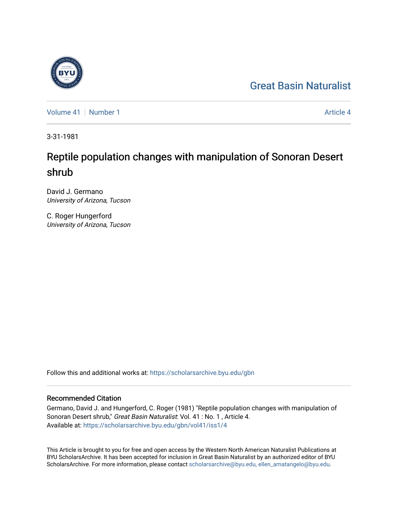## [Great Basin Naturalist](https://scholarsarchive.byu.edu/gbn)

[Volume 41](https://scholarsarchive.byu.edu/gbn/vol41) | [Number 1](https://scholarsarchive.byu.edu/gbn/vol41/iss1) [Article 4](https://scholarsarchive.byu.edu/gbn/vol41/iss1/4) Article 4

3-31-1981

# Reptile population changes with manipulation of Sonoran Desert shrub

David J. Germano University of Arizona, Tucson

C. Roger Hungerford University of Arizona, Tucson

Follow this and additional works at: [https://scholarsarchive.byu.edu/gbn](https://scholarsarchive.byu.edu/gbn?utm_source=scholarsarchive.byu.edu%2Fgbn%2Fvol41%2Fiss1%2F4&utm_medium=PDF&utm_campaign=PDFCoverPages) 

## Recommended Citation

Germano, David J. and Hungerford, C. Roger (1981) "Reptile population changes with manipulation of Sonoran Desert shrub," Great Basin Naturalist: Vol. 41 : No. 1, Article 4. Available at: [https://scholarsarchive.byu.edu/gbn/vol41/iss1/4](https://scholarsarchive.byu.edu/gbn/vol41/iss1/4?utm_source=scholarsarchive.byu.edu%2Fgbn%2Fvol41%2Fiss1%2F4&utm_medium=PDF&utm_campaign=PDFCoverPages)

This Article is brought to you for free and open access by the Western North American Naturalist Publications at BYU ScholarsArchive. It has been accepted for inclusion in Great Basin Naturalist by an authorized editor of BYU ScholarsArchive. For more information, please contact [scholarsarchive@byu.edu, ellen\\_amatangelo@byu.edu.](mailto:scholarsarchive@byu.edu,%20ellen_amatangelo@byu.edu)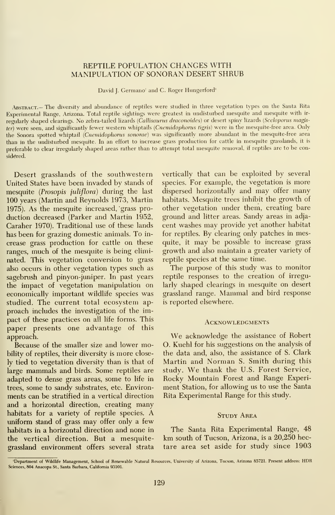## REPTILE POPULATION CHANGES WITH MANIPULATION OF SONORAN DESERT SHRUB

David J. Germano' and C. Roger Hungerford'

ABSTRACT.- The diversity and abundance of reptiles were studied in three vegetation types on the Santa Rita Experimental Range, Arizona. Total reptile sightings were greatest in undisturbed mesquite and mesquite with ir regularly shaped clearings. No zebra-tailed lizards (Callisaurus draconoides) or desert spiny lizards (Sceloporus magister) were seen, and significantly fewer western whiptails (Cnemidophorus tigris) were in the mesquite-free area. Only the Sonora spotted whiptail (Cnemidophorus sonorae) was significantly more abundant in the mesquite-free area than in the undisturbed mesquite. In an effort to increase grass production for cattle in mesquite grasslands, it is preferable to clear irregularly shaped areas rather than to attempt total mesquite removal, if reptiles are to be considered.

Desert grasslands of the southwestern United States have been invaded by stands of mesquite (Prosopis juliflora) during the last 100 years (Martin and Reynolds 1973, Martin 1975). As the mesquite increased, grass pro duction decreased (Parker and Martin 1952, Caraher 1970). Traditional use of these lands has been for grazing domestic animals. To in crease grass production for cattle on these ranges, much of the mesquite is being elimi nated. This vegetation conversion to grass also occurs in other vegetation types such as sagebrush and pinyon-juniper. In past years the impact of vegetation manipulation on economically important wildlife species was studied. The current total ecosystem ap proach includes the investigation of the impact of these practices on all life forms. This paper presents one advantage of this approach.

Because of the smaller size and lower mobility of reptiles, their diversity is more closely tied to vegetation diversity than is that of large mammals and birds. Some reptiles are adapted to dense grass areas, some to life in trees, some to sandy substrates, etc. Environ ments can be stratified in a vertical direction and a horizontal direction, creating many habitats for <sup>a</sup> variety of reptile species. A uniform stand of grass may offer only a few habitats in a horizontal direction and none in the vertical direction. But a mesquitegrassland environment offers several strata

vertically that can be exploited by several species. For example, the vegetation is more dispersed horizontally and may offer many habitats. Mesquite trees inhibit the growth of other vegetation under them, creating bare ground and litter areas. Sandy areas in adja cent washes may provide yet another habitat for reptiles. By clearing only patches in mesquite, it may be possible to increase grass growth and also maintain a greater variety of reptile species at the same time.

The purpose of this study was to monitor reptile responses to the creation of irregularly shaped clearings in mesquite on desert grassland range. Mammal and bird response is reported elsewhere.

#### **ACKNOWLEDGMENTS**

We acknowledge the assistance of Robert O. Kuehl for his suggestions on the analysis of the data and, also, the assistance of S. Clark Martin and Norman S. Smith during this study. We thank the U.S. Forest Service, Rocky Mountain Forest and Range Experiment Station, for allowing us to use the Santa Rita Experimental Range for this study.

### **STUDY AREA**

The Santa Rita Experimental Range, 48 km south of Tucson, Arizona, is <sup>a</sup> 20,250 hectare area set aside for study since 1903

<sup>&#</sup>x27;Department of Wildlife Management, School of Renewable Natural Resources, University of Arizona, Tucson, Arizona 85721. Present address: HDR Sciences, 804 Anacopa St, Santa Barbara, California 93101.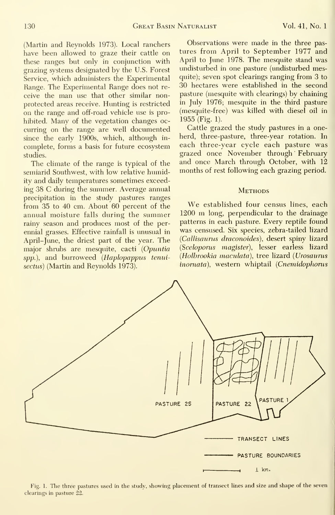(Martin and Reynolds 1973). Local ranchers have been allowed to graze their cattle on these ranges but only in conjunction with grazing systems designated by the U.S. Forest Service, which administers the Experimental Range. The Experimental Range does not re ceive the man use that other similar nonprotected areas receive. Hunting is restricted on the range and off-road vehicle use is prohibited. Many of the vegetation changes oc curring on the range are well documented since the early 1900s, which, although in complete, forms a basis for future ecosystem studies.

The climate of the range is typical of the semiarid Southwest, with low relative humidity and daily temperatures sometimes exceeding 38 C during the summer. Average annual precipitation in the study pastures ranges from 35 to 40 cm. About 60 percent of the annual moisture falls during the summer rainy season and produces most of the perennial grasses. Effective rainfall is unusual in April-June, the driest part of the year. The major shrubs are mesquite, cacti {Opuntia spp.), and burroweed (Haplopappus tenuisectus) (Martin and Reynolds 1973).

Observations were made in the three pas tures from April to September 1977 and April to June 1978. The mesquite stand was undisturbed in one pasture (undisturbed mesquite); seven spot clearings ranging from 3 to 30 hectares were established in the second pasture (mesquite with clearings) by chaining in July 1976; mesquite in the third pasture (mesquite-free) was killed with diesel oil in 1955 (Fig. 1).

Cattle grazed the study pastures in a oneherd, three-pasture, three-year rotation. In each three-year cycle each pasture was grazed once November through February and once March through October, with 12 months of rest following each grazing period.

## **METHODS**

We established four census lines, each <sup>1200</sup> m long, perpendicular to the drainage patterns in each pasture. Every reptile found was censused. Six species, zebra-tailed lizard {CaUisaurus draconoides), desert spiny lizard (Sceloporns magister), lesser earless lizard {Holbrookia maculata), tree lizard {Urosaurus inornata), western whiptail (Cnemidophorus



Fig. 1. The three pastures used in the study, showing placement of transect lines and size and shape of the seven clearings in pasture 22.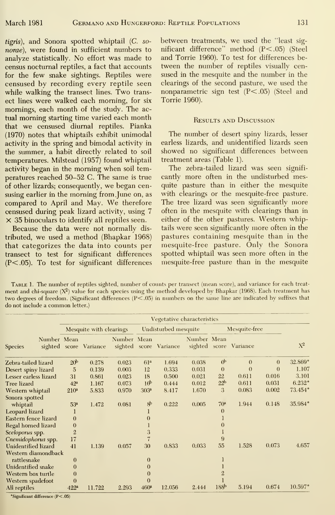tigris), and Sonora spotted whiptail (C. so norae), were found in sufficient numbers to analyze statistically. No effort was made to census nocturnal reptiles, a fact that accounts for the few snake sightings. Reptiles were censused by recording every reptile seen while walking the transect lines. Two trans ect lines were walked each morning, for six mornings, each month of the study. The actual morning starting time varied each month that we censused diurnal reptiles. Pianka (1970) notes that whiptails exhibit unimodal activity in the spring and bimodal activity in the summer, a habit directly related to soil temperatures. Milstead (1957) found whiptail activity began in the morning when soil temperatures reached 50-52 C. The same is true of other lizards; consequently, we began censusing earlier in the morning from June on, as compared to April and May. We therefore censused during peak lizard activity, using 7  $\times$  35 binoculars to identify all reptiles seen.

Because the data were not normally dis tributed, we used a method (Bhapkar 1968) that categorizes the data into counts per transect to test for significant differences (P<.05). To test for significant differences between treatments, we used the "least sig nificant difference" method (P<.05) (Steel and Torrie 1960). To test for differences between the number of reptiles visually censused in the mesquite and the number in the clearings of the second pasture, we used the nonparametric sign test (P<.05) (Steel and Torrie 1960).

## Results and Discussion

The number of desert spiny lizards, lesser earless lizards, and unidentified lizards seen showed no significant differences between treatment areas (Table 1).

The zebra-tailed lizard was seen significantly more often in the undisturbed mesquite pasture than in either the mesquite with clearings or the mesquite-free pasture. The tree lizard was seen significantly more often in the mesquite with clearings than in either of the other pastures. Western whiptails were seen significantly more often in the pastures containing mesquite than in the mesquite-free pasture. Only the Sonora spotted whiptail was seen more often in the mesquite-free pasture than in the mesquite

Table 1. The number of reptiles sighted, number of counts per transect (mean score), and variance for each treat ment and chi-square  $(X^2)$  value for each species using the method developed by Bhapkar (1968). Each treatment has two degrees of freedom. (Significant differences (P<.05) in numbers on the same line are indicated by suffixes that do not include <sup>a</sup> common letter.)

| Number Mean<br><b>Species</b> | Vegetative characteristics |                        |             |                      |                        |             |                  |                        |          |                 |  |
|-------------------------------|----------------------------|------------------------|-------------|----------------------|------------------------|-------------|------------------|------------------------|----------|-----------------|--|
|                               | Mesquite with clearings    |                        |             | Undisturbed mesquite |                        |             | Mesquite-free    |                        |          |                 |  |
|                               |                            | sighted score Variance | Number Mean |                      | sighted score Variance | Number Mean |                  | sighted score Variance |          | $X^2$           |  |
| Zehra-tailed lizard           | 20 <sup>b</sup>            | 0.278                  | 0.023       | 61 <sup>a</sup>      | 1.694                  | 0.038       | $\phi$           | $\Omega$               | $\theta$ | 32.869°         |  |
| Desert spiny lizard           | 5                          | 0.139                  | 0.003       | 12                   | 0.333                  | 0.031       | $\theta$         | $\Omega$               | $\Omega$ | 1.107           |  |
| Lesser earless lizard         | 31                         | 0.861                  | 0.023       | 18                   | 0.500                  | 0.021       | 22               | 0.611                  | 0.016    | 3.101           |  |
| Tree lizard                   | 42 <sup>a</sup>            | 1.167                  | 0.073       | 16 <sup>b</sup>      | 0.444                  | 0.012       | 22 <sup>b</sup>  | 0.611                  | 0.031    | $6.232^{\circ}$ |  |
| Western whiptail              | 210 <sup>a</sup>           | 5.833                  | 0.970       | 303 <sup>a</sup>     | 8.417                  | 1.670       | 3                | 0.083                  | 0.002    | 73.454°         |  |
| Sonora spotted                |                            |                        |             |                      |                        |             |                  |                        |          |                 |  |
| whiptail                      | 53 <sup>a</sup>            | 1.472                  | 0.081       | 8 <sup>b</sup>       | 0.222                  | 0.005       | 70 <sup>a</sup>  | 1.944                  | 0.148    | 35.984°         |  |
| Leopard lizard                |                            |                        |             |                      |                        |             | $\Omega$         |                        |          |                 |  |
| Eastern fence lizard          | $\theta$                   |                        |             | $\theta$             |                        |             |                  |                        |          |                 |  |
| Regal horned lizard           | $\mathbf{0}$               |                        |             |                      |                        |             |                  |                        |          |                 |  |
| Sceloporus spp.               | $\overline{2}$             |                        |             | 3                    |                        |             |                  |                        |          |                 |  |
| Cnemidophorus spp.            | 17                         |                        |             |                      |                        |             | 9                |                        |          |                 |  |
| Unidentified lizard           | 41                         | 1.139                  | 0.057       | 30                   | 0.833                  | 0.033       | 55               | 1.528                  | 0.073    | 4.657           |  |
| Western diamondback           |                            |                        |             |                      |                        |             |                  |                        |          |                 |  |
| rattlesnake                   | $\bf{0}$                   |                        |             | $\theta$             |                        |             |                  |                        |          |                 |  |
| Unidentified snake            | $\theta$                   |                        |             | $\theta$             |                        |             |                  |                        |          |                 |  |
| Western box turtle            | $\theta$                   |                        |             | $\Omega$             |                        |             |                  |                        |          |                 |  |
| Western spadefoot             | 0                          |                        |             | $\theta$             |                        |             |                  |                        |          |                 |  |
| All reptiles                  | $422^a$                    | 11.722                 | 2.293       | 460 <sup>a</sup>     | 12.056                 | 2.444       | 188 <sup>b</sup> | 5.194                  | 0.674    | 10.597°         |  |

'Significant difference (P<.05)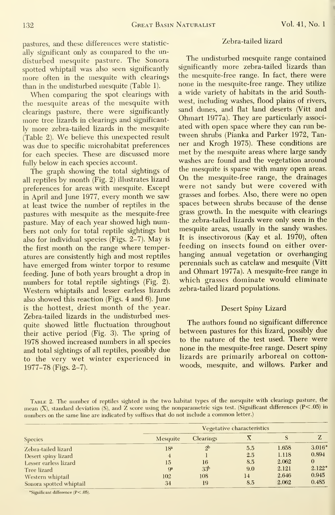pastures, and these differences were statistic ally significant only as compared to the un disturbed mesquite pasture. The Sonora spotted whiptail was also seen significantly more often in the mesquite with clearings than in the undisturbed mesquite (Table 1).

When comparing the spot clearings with the mesquite areas of the mesquite with clearings pasture, there were significantly more tree lizards in clearings and significantly more zebra-tailed lizards in the mesquite (Table 2). We believe this unexpected result was due to specific microhabitat preferences for each species. These are discussed more fully below in each species account.

The graph showing the total sightings of all reptiles by month (Fig. 2) illustrates lizard preferences for areas with mesquite. Except in April and June 1977, every month we saw at least twice the number of reptiles in the pastures with mesquite as the mesquite-free pasture. May of each year showed high numbers not only for total reptile sightings but also for individual species (Figs. 2-7). May is the first month on the range where temperatures are consistently high and most reptiles have emerged from winter torpor to resume feeding. June of both years brought a drop in numbers for total reptile sightings (Fig. 2). Western whiptails and lesser earless lizards also showed this reaction (Figs. 4 and 6). June is the hottest, driest month of the year. Zebra-tailed lizards in the undisturbed mesquite showed little fluctuation throughout their active period (Fig. 3). The spring of 1978 showed increased numbers in all species and total sightings of all reptiles, possibly due to the very wet winter experienced in 1977-78 (Figs. 2-7).

## Zebra-tailed lizard

The undisturbed mesquite range contained significantly more zebra-tailed lizards than the mesquite-free range. In fact, there were none in the mesquite-free range. They utilize a wide variety of habitats in the arid Southwest, including washes, flood plains of rivers, sand dunes, and flat land deserts (Vitt and Ohmart 1977a). They are particularly associ ated with open space where they can run be tween shrubs (Pianka and Parker 1972, Tanner and Krogh 1975). These conditions are met by the mesquite areas where large sandy washes are found and the vegetation around the mesquite is sparse with many open areas. On the mesquite-free range, the drainages were not sandy but were covered with grasses and forbes. Also, there were no open spaces between shrubs because of the dense grass growth. In the mesquite with clearings the zebra-tailed lizards were only seen in the mesquite areas, usually in the sandy washes. It is insectivorous (Kay et al. 1970), often feeding on insects found on either over hanging annual vegetation or overhanging perennials such as catclaw and mesquite (Vitt and Ohmart 1977a). A mesquite-free range in which grasses dominate would eliminate zebra-tailed lizard populations.

## Desert Spiny Lizard

The authors found no significant difference between pastures for this lizard, possibly due to the nature of the test used. There were none in the mesquite-free range. Desert spiny lizards are primarily arboreal on cotton woods, mesquite, and willows. Parker and

Table 2. The number of reptiles sighted in the two habitat types of the mesquite with clearings pasture, the mean (X), standard deviation (S), and Z score using the nonparametric sign test. (Significant differences (P<.05) in numbers on the same line are indicated by suffixes that do not include <sup>a</sup> common letter.)

|                         | Vegetative characteristics |                 |     |       |                 |  |  |  |  |
|-------------------------|----------------------------|-----------------|-----|-------|-----------------|--|--|--|--|
| <b>Species</b>          | Mesquite                   | Clearings       |     | S     |                 |  |  |  |  |
| Zebra-tailed lizard     | 18 <sup>a</sup>            | 2 <sup>b</sup>  | 5.5 | 1.658 | 3.016°          |  |  |  |  |
| Desert spiny lizard     |                            |                 | 2.5 | 1.118 | 0.894           |  |  |  |  |
| Lesser earless lizard   | 15                         | 16              | 8.5 | 2.062 |                 |  |  |  |  |
| Tree lizard             | $\mathbf{a}$               | 33 <sup>b</sup> | 9.0 | 2.121 | $2.122^{\circ}$ |  |  |  |  |
| Western whiptail        | 102                        | 108             | 14  | 2.646 | 0.945           |  |  |  |  |
| Sonora spotted whiptail | 34                         | 19              | 8.5 | 2.062 | 0.485           |  |  |  |  |

\*Significant difference (P<.05).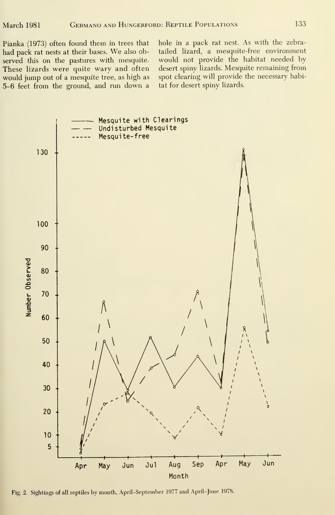Pianka (1973) often found them in trees that had pack rat nests at their bases. We also observed this on the pastures with mesquite. These lizards were quite wary and often would jump out of a mesquite tree, as high as 5-6 feet from the ground, and run down <sup>a</sup> hole in a pack rat nest. As with the zebratailed lizard, a mesquite-free environment would not provide the habitat needed by desert spiny lizards. Mesquite remaining from spot clearing will provide the necessary habitat for desert spiny lizards.



Fig. 2. Sightings of all reptiles by month, April-September 1977 and April-June 1978.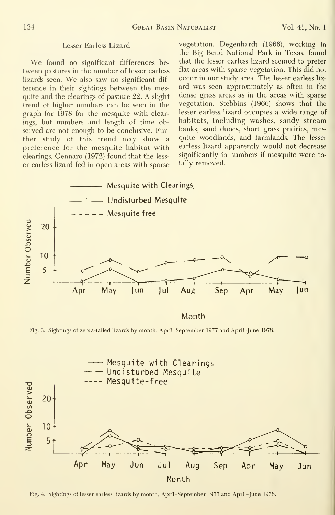#### Lesser Earless Lizard

We found no significant differences between pastures in the number of lesser earless lizards seen. We also saw no significant dif ference in their sightings between the mesquite and the clearings of pasture 22. A slight trend of higher numbers can be seen in the graph for 1978 for the mesquite with clearings, but numbers and length of time observed are not enough to be conclusive. Further study of this trend may show a preference for the mesquite habitat with clearings. Gennaro (1972) found that the less er earless lizard fed in open areas with sparse vegetation. Degenhardt (1966), working in the Big Bend National Park in Texas, found that the lesser earless lizard seemed to prefer flat areas with sparse vegetation. This did not occur in our study area. The lesser earless liz ard was seen approximately as often in the dense grass areas as in the areas with sparse vegetation. Stebbins (1966) shows that the lesser earless lizard occupies a wide range of habitats, including washes, sandy stream banks, sand dunes, short grass prairies, mesquite woodlands, and farmlands. The lesser earless lizard apparently would not decrease significantly in numbers if mesquite were totally removed.



Month

Fig. 3. Sightings of zebra-tailed lizards by month, April-September 1977 and April-June 1978.



Fig. 4. Sightings of lesser earless lizards by month, April-September 1977 and April-June 1978.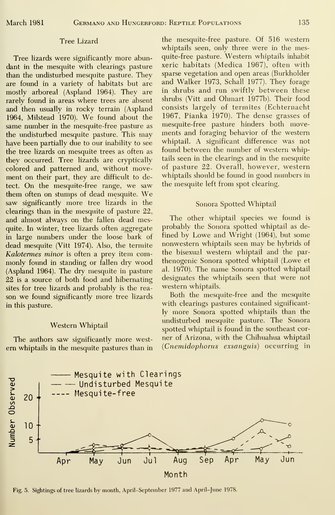#### Tree Lizard

Tree lizards were significantly more abundant in the mesquite with clearings pasture than the undisturbed mesquite pasture. They are found in a variety of habitats but are mostly arboreal (Aspland 1964). They are rarely found in areas where trees are absent and then usually in rocky terrain (Aspland 1964, Milstead 1970). We found about the same number in the mesquite-free pasture as the undisturbed mesquite pasture. This may have been partially due to our inability to see the tree lizards on mesquite trees as often as they occurred. Tree lizards are cryptically colored and patterned and, without movement on their part, they are difficult to detect. On the mesquite-free range, we saw them often on stumps of dead mesquite. We saw significantly more tree lizards in the clearings than in the mesquite of pasture 22, and almost always on the fallen dead mesquite. In winter, tree lizards often aggregate in large numbers under the loose bark of dead mesquite (Vitt 1974). Also, the termite Kalotermes minor is often a prey item commonly found in standing or fallen dry wood (Aspland 1964). The dry mesquite in pasture 22 is a source of both food and hibernating sites for tree lizards and probably is the rea son we found significantly more tree lizards in this pasture.

### Western Whiptail

The authors saw significantly more west em whiptails in the mesquite pastures than in the mesquite-free pasture. Of 516 western whiptails seen, only three were in the mesquite-free pasture. Western whiptails inhabit xeric habitats (Medica 1967), often with sparse vegetation and open areas (Burkholder and Walker 1973, Schall 1977). They forage in shrubs and run swiftly between these shrubs (Vitt and Ohmart 1977b). Their food consists largely of termites (Echternacht 1967, Pianka 1970). The dense grasses of mesquite-free pasture hinders both movements and foraging behavior of the western whiptail. A significant difference was not found between the number of western whiptails seen in the clearings and in the mesquite of pasture 22. Overall, however, western whiptails should be found in good numbers in the mesquite left from spot clearing.

#### Sonora Spotted Whiptail

The other whiptail species we found is probably the Sonora spotted whiptail as de fined by Lowe and Wright (1964), but some nonwestern whiptails seen may be hybrids of the bisexual western whiptail and the par thenogenic Sonora spotted whiptail (Lowe et al. 1970). The name Sonora spotted whiptail designates the whiptails seen that were not western whiptails.

Both the mesquite-free and the mesquite with clearings pastures contained significantly more Sonora spotted whiptails than the undisturbed mesquite pasture. The Sonora spotted whiptail is found in the southeast cor ner of Arizona, with the Chihuahua whiptail (Cnemidophorus exsanguis) occurring in



Fig. 5. Sightings of tree lizards by month, April-September 1977 and April-June 1978.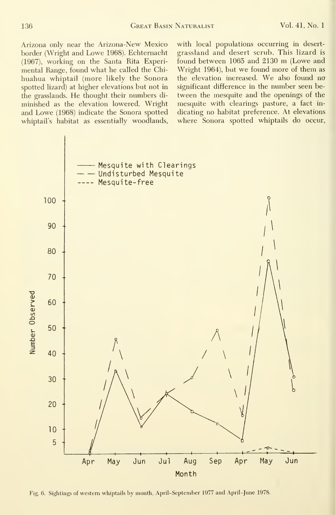136 Great Basin Naturalist Vol. 41, No. <sup>1</sup>

Arizona only near the Arizona-New Mexico border (Wright and Lowe 1968). Echternacht (1967), working on the Santa Rita Experimental Range, found what he called the Chihuahua whiptail (more likely the Sonora spotted lizard) at higher elevations but not in the grasslands. He thought their numbers di minished as the elevation lowered. Wright and Lowe (1968) indicate the Sonora spotted whiptail's habitat as essentially woodlands.

with local populations occurring in desert grassland and desert scrub. This lizard is found between <sup>1065</sup> and <sup>2130</sup> m (Lowe and Wright 1964), but we found more of them as the elevation increased. We also found no significant difference in the number seen be tween the mesquite and the openings of the mesquite with clearings pasture, a fact in dicating no habitat preference. At elevations where Sonora spotted whiptails do occur,



Fig. 6. Sightings of western whiptails by month, April-September 1977 and April-June 1978.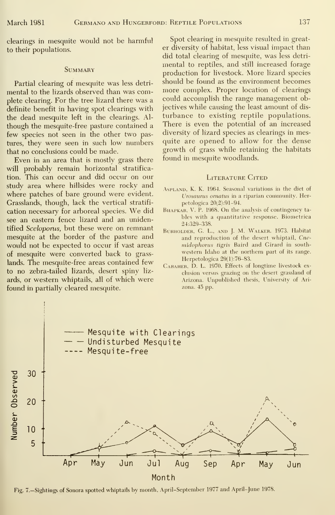clearings in mesquite would not be harmful to their populations.

### **SUMMARY**

Partial clearing of mesquite was less detri mental to the lizards observed than was complete clearing. For the tree lizard there was a definite benefit in having spot clearings with the dead mesquite left in the clearings. Al though the mesquite-free pasture contained a few species not seen in the other two pastures, they were seen in such low numbers that no conclusions could be made.

Even in an area that is mostly grass there will probably remain horizontal stratification. This can occur and did occur on our study area where hillsides were rocky and where patches of bare ground were evident. Grasslands, though, lack the vertical stratifi cation necessary for arboreal species. We did see an eastern fence lizard and an unidentified Sceloporus, but these were on remnant mesquite at the border of the pasture and would not be expected to occur if vast areas of mesquite were converted back to grasslands. The mesquite-free areas contained few to no zebra-tailed lizards, desert spiny liz ards, or western whiptails, all of which were found in partially cleared mesquite.

Spot clearing in mesquite resulted in greater diversity of habitat, less visual impact than did total clearing of mesquite, was less detri mental to reptiles, and still increased forage production for livestock. More lizard species should be found as the environment becomes more complex. Proper location of clearings could accomplish the range management objectives while causing the least amount of dis turbance to existing reptile populations. There is even the potential of an increased diversity of lizard species as clearings in mesquite are opened to allow for the dense growth of grass while retaining the habitats found in mesquite woodlands.

#### LITERATURE CITED

- AsPLAND, K. K. 1964. Seasonal variations in the diet of Urosaurus ornatus in a riparian community. Herpetologica 20(2):91-94.
- BHAPKAR, V. P. 1968. On the analysis of contingency tables with a quantitative response. Biometrica 24:329-338.
- BURHOLDER, G. L., AND J. M. WALKER. 1973. Habitat and reproduction of the desert whiptail, Cne midophorus tigris Baird and Girard in south western Idaho at the northern part of its range. Herpetologica 29(l):76-83.
- Caraher, D. L. 1970. Effects of longtime livestock ex clusion versus grazing on the desert grassland of Arizona. Unpublished thesis, University of Arizona. 45 pp.



Fig. 7.-Sightings of Sonora spotted whiptails by month, April-September 1977 and April-June 1978.